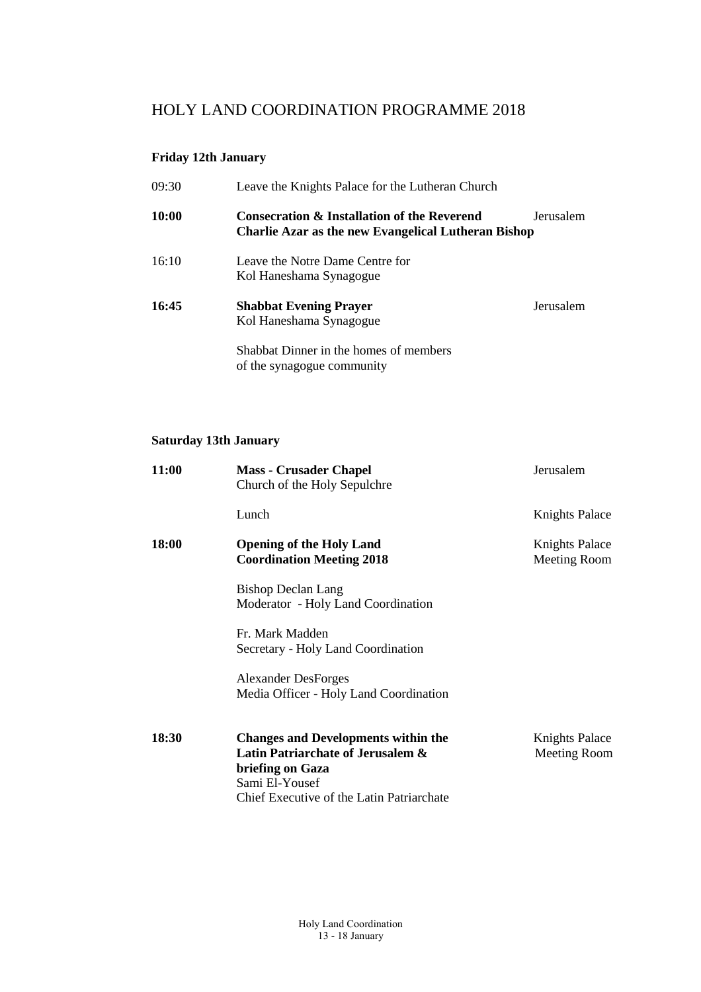# HOLY LAND COORDINATION PROGRAMME 2018

#### **Friday 12th January**

| 09:30 | Leave the Knights Palace for the Lutheran Church                                                              |           |
|-------|---------------------------------------------------------------------------------------------------------------|-----------|
| 10:00 | <b>Consecration &amp; Installation of the Reverend</b><br>Charlie Azar as the new Evangelical Lutheran Bishop | Jerusalem |
| 16:10 | Leave the Notre Dame Centre for<br>Kol Haneshama Synagogue                                                    |           |
| 16:45 | <b>Shabbat Evening Prayer</b><br>Kol Haneshama Synagogue                                                      | Jerusalem |
|       | Shabbat Dinner in the homes of members<br>of the synagogue community                                          |           |

# **Saturday 13th January**

| 11:00        | <b>Mass - Crusader Chapel</b><br>Church of the Holy Sepulchre                                                                                                      | Jerusalem                             |
|--------------|--------------------------------------------------------------------------------------------------------------------------------------------------------------------|---------------------------------------|
|              | Lunch                                                                                                                                                              | <b>Knights Palace</b>                 |
| <b>18:00</b> | <b>Opening of the Holy Land</b><br><b>Coordination Meeting 2018</b>                                                                                                | <b>Knights Palace</b><br>Meeting Room |
|              | <b>Bishop Declan Lang</b><br>Moderator - Holy Land Coordination                                                                                                    |                                       |
|              | Fr. Mark Madden<br>Secretary - Holy Land Coordination                                                                                                              |                                       |
|              | <b>Alexander DesForges</b><br>Media Officer - Holy Land Coordination                                                                                               |                                       |
| 18:30        | <b>Changes and Developments within the</b><br>Latin Patriarchate of Jerusalem &<br>briefing on Gaza<br>Sami El-Yousef<br>Chief Executive of the Latin Patriarchate | Knights Palace<br>Meeting Room        |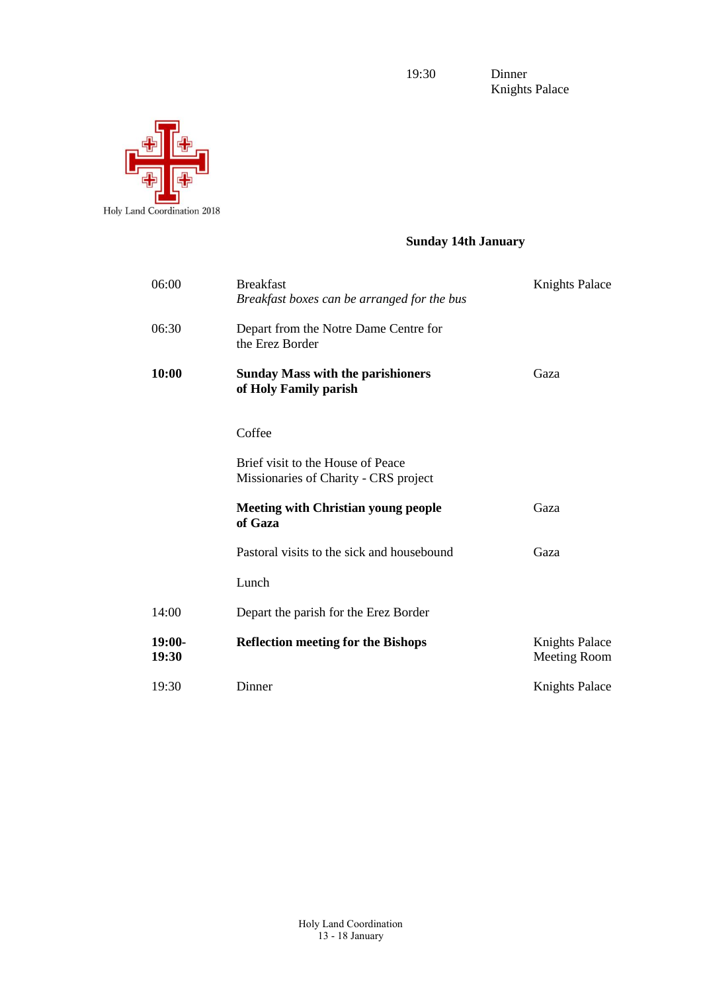19:30 Dinner

Knights Palace



# **Sunday 14th January**

| 06:00             | <b>Breakfast</b><br>Breakfast boxes can be arranged for the bus            | <b>Knights Palace</b>                        |
|-------------------|----------------------------------------------------------------------------|----------------------------------------------|
| 06:30             | Depart from the Notre Dame Centre for<br>the Erez Border                   |                                              |
| 10:00             | <b>Sunday Mass with the parishioners</b><br>of Holy Family parish          | Gaza                                         |
|                   | Coffee                                                                     |                                              |
|                   | Brief visit to the House of Peace<br>Missionaries of Charity - CRS project |                                              |
|                   | <b>Meeting with Christian young people</b><br>of Gaza                      | Gaza                                         |
|                   | Pastoral visits to the sick and housebound                                 | Gaza                                         |
|                   | Lunch                                                                      |                                              |
| 14:00             | Depart the parish for the Erez Border                                      |                                              |
| $19:00-$<br>19:30 | <b>Reflection meeting for the Bishops</b>                                  | <b>Knights Palace</b><br><b>Meeting Room</b> |
| 19:30             | Dinner                                                                     | <b>Knights Palace</b>                        |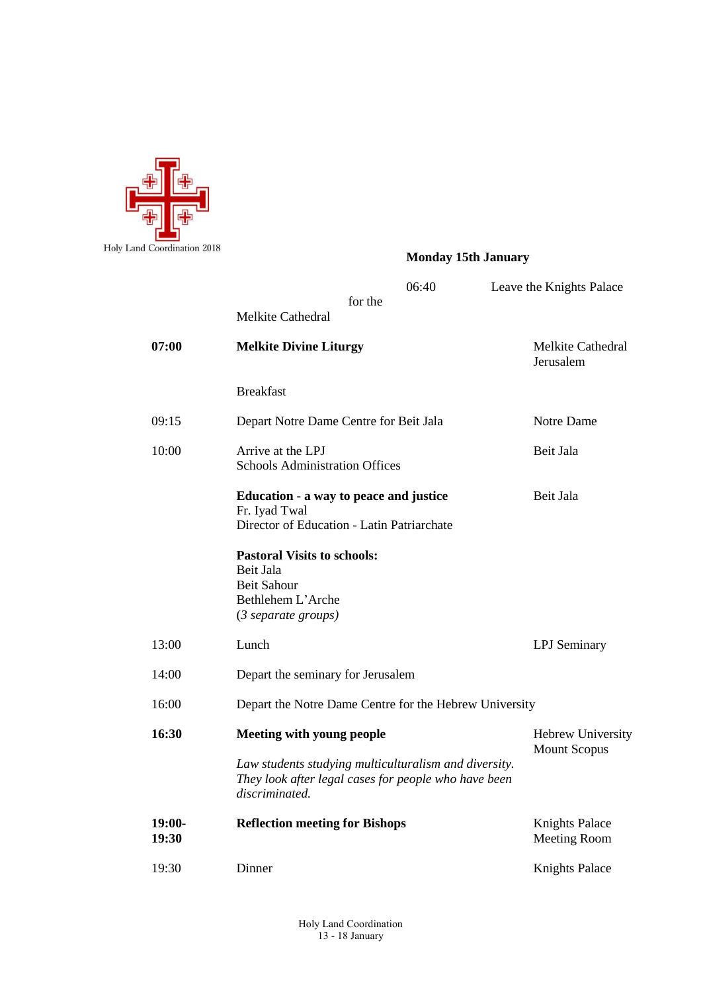

# **Monday 15th January**

|                   |                                                                                                                                 | 06:40 | Leave the Knights Palace                     |  |
|-------------------|---------------------------------------------------------------------------------------------------------------------------------|-------|----------------------------------------------|--|
|                   | for the<br><b>Melkite Cathedral</b>                                                                                             |       |                                              |  |
| 07:00             | <b>Melkite Divine Liturgy</b>                                                                                                   |       | Melkite Cathedral<br>Jerusalem               |  |
|                   | <b>Breakfast</b>                                                                                                                |       |                                              |  |
| 09:15             | Depart Notre Dame Centre for Beit Jala                                                                                          |       | Notre Dame                                   |  |
| 10:00             | Arrive at the LPJ<br><b>Schools Administration Offices</b>                                                                      |       | Beit Jala                                    |  |
|                   | Education - a way to peace and justice<br>Fr. Iyad Twal<br>Director of Education - Latin Patriarchate                           |       | Beit Jala                                    |  |
|                   | <b>Pastoral Visits to schools:</b><br>Beit Jala<br><b>Beit Sahour</b><br>Bethlehem L'Arche<br>$(3 \text{ separate groups})$     |       |                                              |  |
| 13:00             | Lunch                                                                                                                           |       | <b>LPJ</b> Seminary                          |  |
| 14:00             | Depart the seminary for Jerusalem                                                                                               |       |                                              |  |
| 16:00             | Depart the Notre Dame Centre for the Hebrew University                                                                          |       |                                              |  |
| 16:30             | <b>Meeting with young people</b>                                                                                                |       | <b>Hebrew University</b>                     |  |
|                   | Law students studying multiculturalism and diversity.<br>They look after legal cases for people who have been<br>discriminated. |       | <b>Mount Scopus</b>                          |  |
| $19:00-$<br>19:30 | <b>Reflection meeting for Bishops</b>                                                                                           |       | <b>Knights Palace</b><br><b>Meeting Room</b> |  |
| 19:30             | Dinner                                                                                                                          |       | <b>Knights Palace</b>                        |  |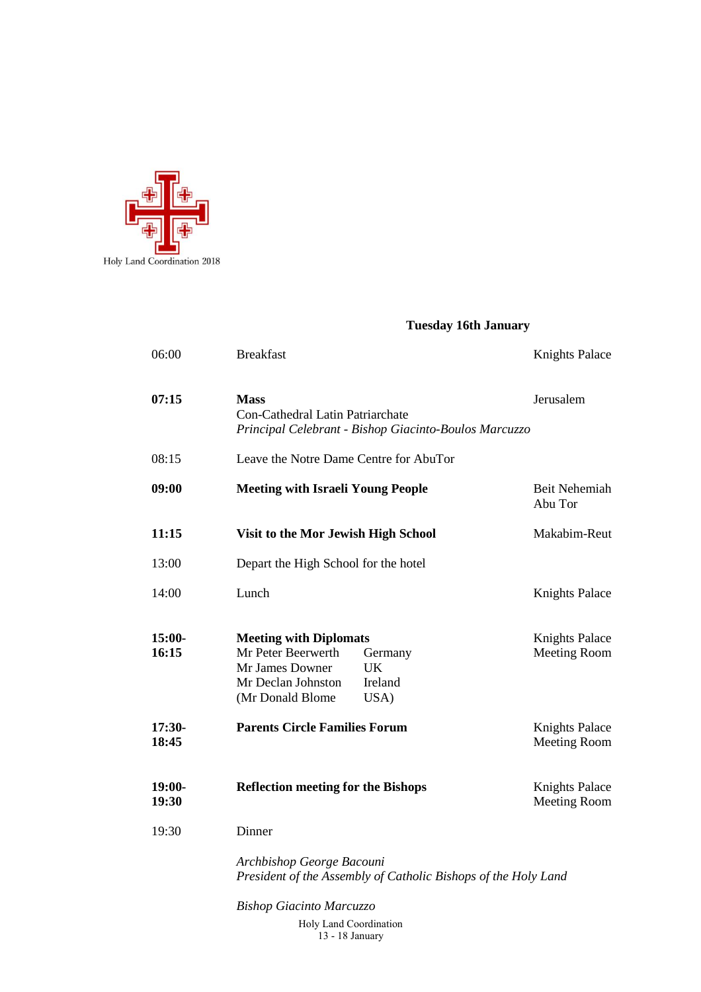

#### **Tuesday 16th January**

| 06:00             | <b>Breakfast</b>                                                                                                                                            | Knights Palace                               |
|-------------------|-------------------------------------------------------------------------------------------------------------------------------------------------------------|----------------------------------------------|
| 07:15             | <b>Mass</b><br>Con-Cathedral Latin Patriarchate<br>Principal Celebrant - Bishop Giacinto-Boulos Marcuzzo                                                    | Jerusalem                                    |
| 08:15             | Leave the Notre Dame Centre for AbuTor                                                                                                                      |                                              |
| 09:00             | <b>Meeting with Israeli Young People</b>                                                                                                                    | <b>Beit Nehemiah</b><br>Abu Tor              |
| 11:15             | Visit to the Mor Jewish High School                                                                                                                         | Makabim-Reut                                 |
| 13:00             | Depart the High School for the hotel                                                                                                                        |                                              |
| 14:00             | Lunch                                                                                                                                                       | <b>Knights Palace</b>                        |
| $15:00-$<br>16:15 | <b>Meeting with Diplomats</b><br>Mr Peter Beerwerth<br>Germany<br>Mr James Downer<br><b>UK</b><br>Mr Declan Johnston<br>Ireland<br>(Mr Donald Blome<br>USA) | <b>Knights Palace</b><br><b>Meeting Room</b> |
| $17:30-$<br>18:45 | <b>Parents Circle Families Forum</b>                                                                                                                        | <b>Knights Palace</b><br>Meeting Room        |
| $19:00-$<br>19:30 | <b>Reflection meeting for the Bishops</b>                                                                                                                   | <b>Knights Palace</b><br>Meeting Room        |
| 19:30             | Dinner                                                                                                                                                      |                                              |
|                   | Archbishop George Bacouni<br>President of the Assembly of Catholic Bishops of the Holy Land                                                                 |                                              |
|                   | <b>Bishop Giacinto Marcuzzo</b>                                                                                                                             |                                              |

Holy Land Coordination 13 - 18 January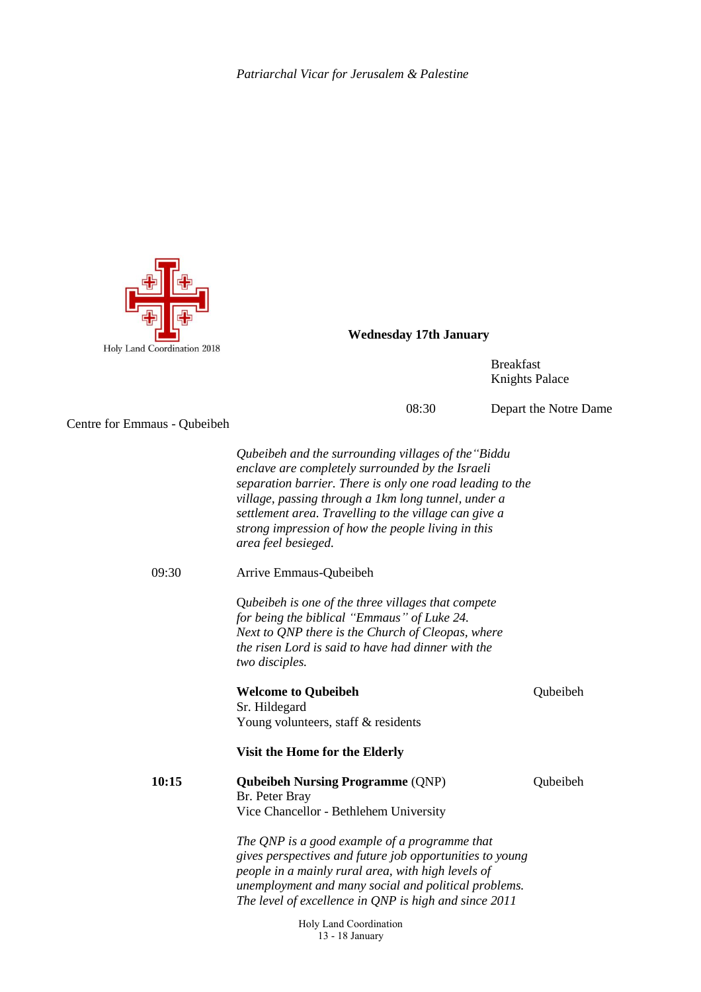

**Wednesday 17th January**

Breakfast Knights Palace

08:30 Depart the Notre Dame

Centre for Emmaus - Qubeibeh

*Qubeibeh and the surrounding villages of the"Biddu enclave are completely surrounded by the Israeli separation barrier. There is only one road leading to the village, passing through a 1km long tunnel, under a settlement area. Travelling to the village can give a strong impression of how the people living in this area feel besieged.*

09:30 Arrive Emmaus-Qubeibeh

Q*ubeibeh is one of the three villages that compete for being the biblical "Emmaus" of Luke 24. Next to QNP there is the Church of Cleopas, where the risen Lord is said to have had dinner with the two disciples.*

**Welcome to Qubeibeh** Qubeibeh

Sr. Hildegard Young volunteers, staff & residents

**Visit the Home for the Elderly**

**10:15 Qubeibeh Nursing Programme** (QNP) Qubeibeh Br. Peter Bray Vice Chancellor - Bethlehem University

> *The QNP is a good example of a programme that gives perspectives and future job opportunities to young people in a mainly rural area, with high levels of unemployment and many social and political problems. The level of excellence in QNP is high and since 2011*

> > Holy Land Coordination 13 - 18 January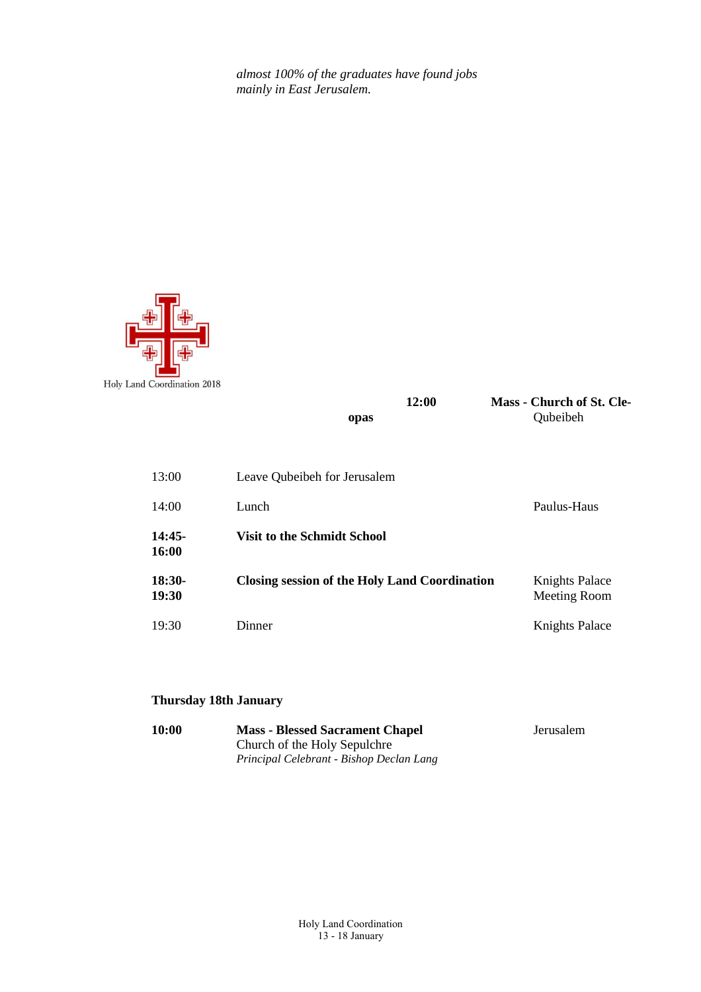*almost 100% of the graduates have found jobs mainly in East Jerusalem.*



| 12:0 |
|------|
|      |



| 13:00                  | Leave Qubeibeh for Jerusalem                  |                                       |
|------------------------|-----------------------------------------------|---------------------------------------|
| 14:00                  | Lunch                                         | Paulus-Haus                           |
| 14:45-<br><b>16:00</b> | <b>Visit to the Schmidt School</b>            |                                       |
| 18:30-<br>19:30        | Closing session of the Holy Land Coordination | <b>Knights Palace</b><br>Meeting Room |
| 19:30                  | Dinner                                        | <b>Knights Palace</b>                 |

#### **Thursday 18th January**

| <b>10:00</b> | <b>Mass - Blessed Sacrament Chapel</b>   | Jerusalem |
|--------------|------------------------------------------|-----------|
|              | Church of the Holy Sepulchre             |           |
|              | Principal Celebrant - Bishop Declan Lang |           |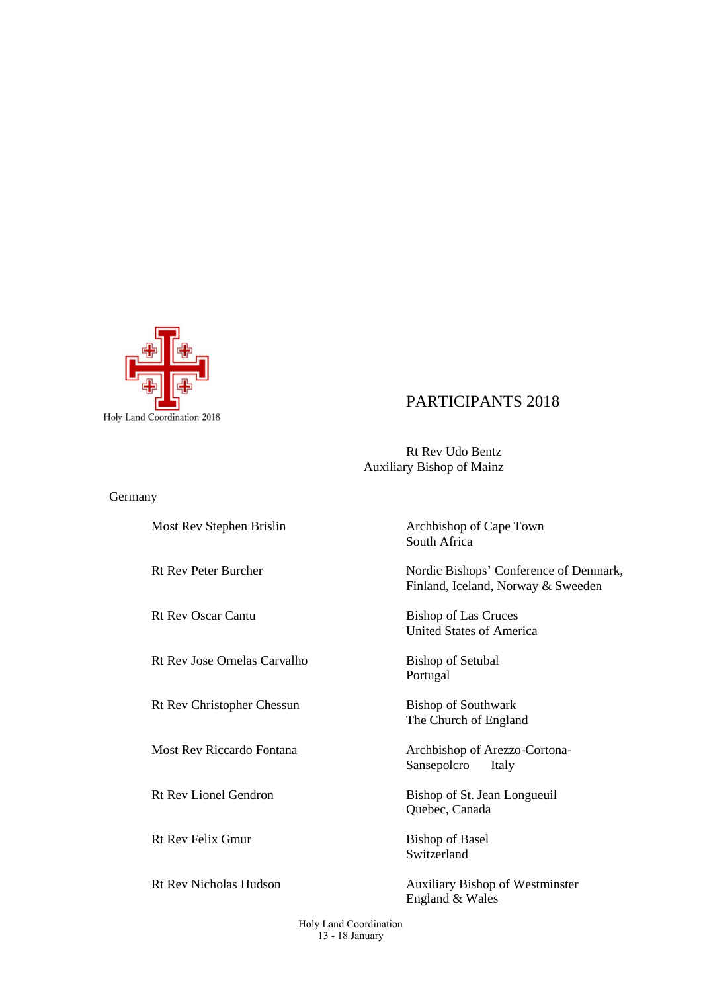

# PARTICIPANTS 2018

Rt Rev Udo Bentz Auxiliary Bishop of Mainz

Germany

Rt Rev Jose Ornelas Carvalho Bishop of Setubal

Rt Rev Christopher Chessun Bishop of Southwark

Rt Rev Felix Gmur Bishop of Basel

Most Rev Stephen Brislin Archbishop of Cape Town South Africa

Rt Rev Peter Burcher Nordic Bishops' Conference of Denmark, Finland, Iceland, Norway & Sweeden

Rt Rev Oscar Cantu Bishop of Las Cruces United States of America

Portugal

The Church of England

Most Rev Riccardo Fontana Archbishop of Arezzo-Cortona-Sansepolcro Italy

Rt Rev Lionel Gendron Bishop of St. Jean Longueuil Quebec, Canada

Switzerland

Rt Rev Nicholas Hudson Auxiliary Bishop of Westminster England & Wales